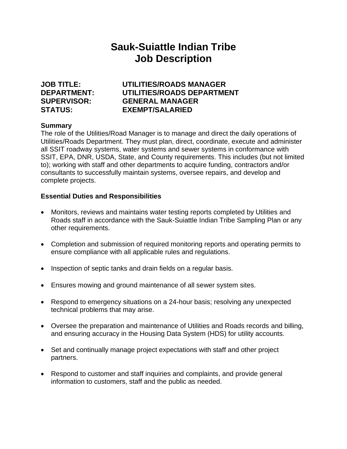# **Sauk-Suiattle Indian Tribe Job Description**

# **JOB TITLE: UTILITIES/ROADS MANAGER DEPARTMENT: UTILITIES/ROADS DEPARTMENT SUPERVISOR: GENERAL MANAGER STATUS: EXEMPT/SALARIED**

# **Summary**

The role of the Utilities/Road Manager is to manage and direct the daily operations of Utilities/Roads Department. They must plan, direct, coordinate, execute and administer all SSIT roadway systems, water systems and sewer systems in conformance with SSIT, EPA, DNR, USDA, State, and County requirements. This includes (but not limited to); working with staff and other departments to acquire funding, contractors and/or consultants to successfully maintain systems, oversee repairs, and develop and complete projects.

# **Essential Duties and Responsibilities**

- Monitors, reviews and maintains water testing reports completed by Utilities and Roads staff in accordance with the Sauk-Suiattle Indian Tribe Sampling Plan or any other requirements.
- Completion and submission of required monitoring reports and operating permits to ensure compliance with all applicable rules and regulations.
- Inspection of septic tanks and drain fields on a regular basis.
- Ensures mowing and ground maintenance of all sewer system sites.
- Respond to emergency situations on a 24-hour basis; resolving any unexpected technical problems that may arise.
- Oversee the preparation and maintenance of Utilities and Roads records and billing, and ensuring accuracy in the Housing Data System (HDS) for utility accounts.
- Set and continually manage project expectations with staff and other project partners.
- Respond to customer and staff inquiries and complaints, and provide general information to customers, staff and the public as needed.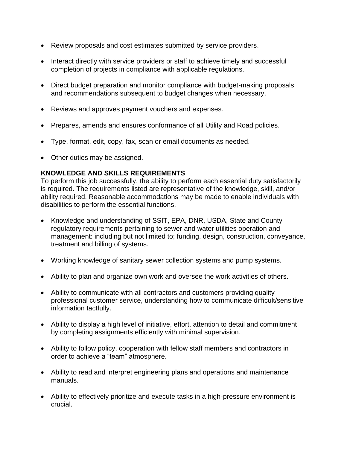- Review proposals and cost estimates submitted by service providers.
- Interact directly with service providers or staff to achieve timely and successful completion of projects in compliance with applicable regulations.
- Direct budget preparation and monitor compliance with budget-making proposals and recommendations subsequent to budget changes when necessary.
- Reviews and approves payment vouchers and expenses.
- Prepares, amends and ensures conformance of all Utility and Road policies.
- Type, format, edit, copy, fax, scan or email documents as needed.
- Other duties may be assigned.

# **KNOWLEDGE AND SKILLS REQUIREMENTS**

To perform this job successfully, the ability to perform each essential duty satisfactorily is required. The requirements listed are representative of the knowledge, skill, and/or ability required. Reasonable accommodations may be made to enable individuals with disabilities to perform the essential functions.

- Knowledge and understanding of SSIT, EPA, DNR, USDA, State and County regulatory requirements pertaining to sewer and water utilities operation and management: including but not limited to; funding, design, construction, conveyance, treatment and billing of systems.
- Working knowledge of sanitary sewer collection systems and pump systems.
- Ability to plan and organize own work and oversee the work activities of others.
- Ability to communicate with all contractors and customers providing quality professional customer service, understanding how to communicate difficult/sensitive information tactfully.
- Ability to display a high level of initiative, effort, attention to detail and commitment by completing assignments efficiently with minimal supervision.
- Ability to follow policy, cooperation with fellow staff members and contractors in order to achieve a "team" atmosphere.
- Ability to read and interpret engineering plans and operations and maintenance manuals.
- Ability to effectively prioritize and execute tasks in a high-pressure environment is crucial.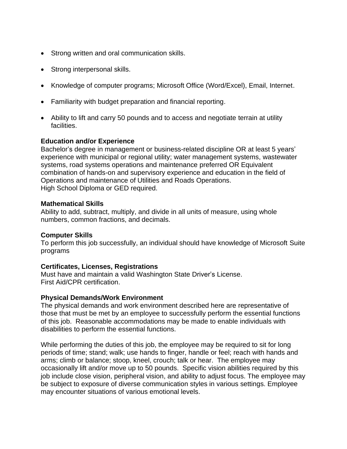- Strong written and oral communication skills.
- Strong interpersonal skills.
- Knowledge of computer programs; Microsoft Office (Word/Excel), Email, Internet.
- Familiarity with budget preparation and financial reporting.
- Ability to lift and carry 50 pounds and to access and negotiate terrain at utility facilities.

#### **Education and/or Experience**

Bachelor's degree in management or business-related discipline OR at least 5 years' experience with municipal or regional utility; water management systems, wastewater systems, road systems operations and maintenance preferred OR Equivalent combination of hands-on and supervisory experience and education in the field of Operations and maintenance of Utilities and Roads Operations. High School Diploma or GED required.

#### **Mathematical Skills**

Ability to add, subtract, multiply, and divide in all units of measure, using whole numbers, common fractions, and decimals.

## **Computer Skills**

To perform this job successfully, an individual should have knowledge of Microsoft Suite programs

## **Certificates, Licenses, Registrations**

Must have and maintain a valid Washington State Driver's License. First Aid/CPR certification.

## **Physical Demands/Work Environment**

The physical demands and work environment described here are representative of those that must be met by an employee to successfully perform the essential functions of this job. Reasonable accommodations may be made to enable individuals with disabilities to perform the essential functions.

While performing the duties of this job, the employee may be required to sit for long periods of time; stand; walk; use hands to finger, handle or feel; reach with hands and arms; climb or balance; stoop, kneel, crouch; talk or hear. The employee may occasionally lift and/or move up to 50 pounds. Specific vision abilities required by this job include close vision, peripheral vision, and ability to adjust focus. The employee may be subject to exposure of diverse communication styles in various settings. Employee may encounter situations of various emotional levels.